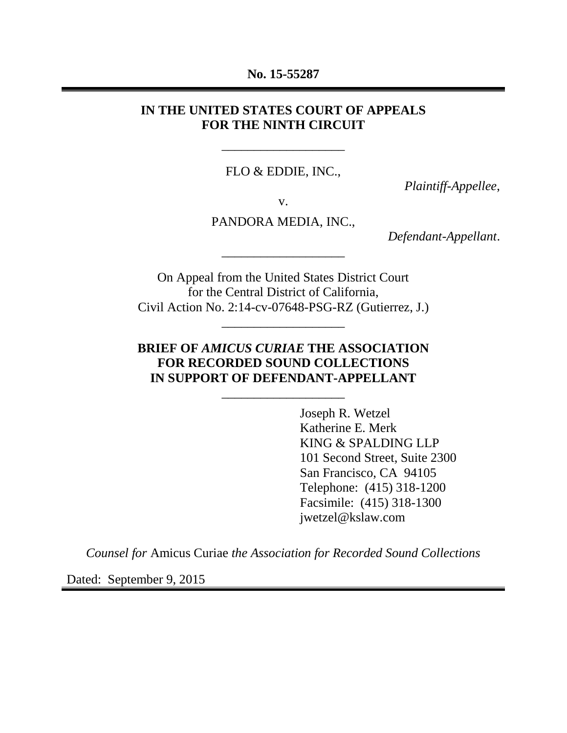#### **No. 15-55287**

#### **IN THE UNITED STATES COURT OF APPEALS FOR THE NINTH CIRCUIT**

FLO & EDDIE, INC.,

\_\_\_\_\_\_\_\_\_\_\_\_\_\_\_\_\_\_\_

*Plaintiff-Appellee*,

v.

PANDORA MEDIA, INC.,

\_\_\_\_\_\_\_\_\_\_\_\_\_\_\_\_\_\_\_

*Defendant-Appellant*.

On Appeal from the United States District Court for the Central District of California, Civil Action No. 2:14-cv-07648-PSG-RZ (Gutierrez, J.)

\_\_\_\_\_\_\_\_\_\_\_\_\_\_\_\_\_\_\_

#### **BRIEF OF** *AMICUS CURIAE* **THE ASSOCIATION FOR RECORDED SOUND COLLECTIONS IN SUPPORT OF DEFENDANT-APPELLANT**

\_\_\_\_\_\_\_\_\_\_\_\_\_\_\_\_\_\_\_

Joseph R. Wetzel Katherine E. Merk KING & SPALDING LLP 101 Second Street, Suite 2300 San Francisco, CA 94105 Telephone: (415) 318-1200 Facsimile: (415) 318-1300 jwetzel@kslaw.com

*Counsel for* Amicus Curiae *the Association for Recorded Sound Collections*

Dated: September 9, 2015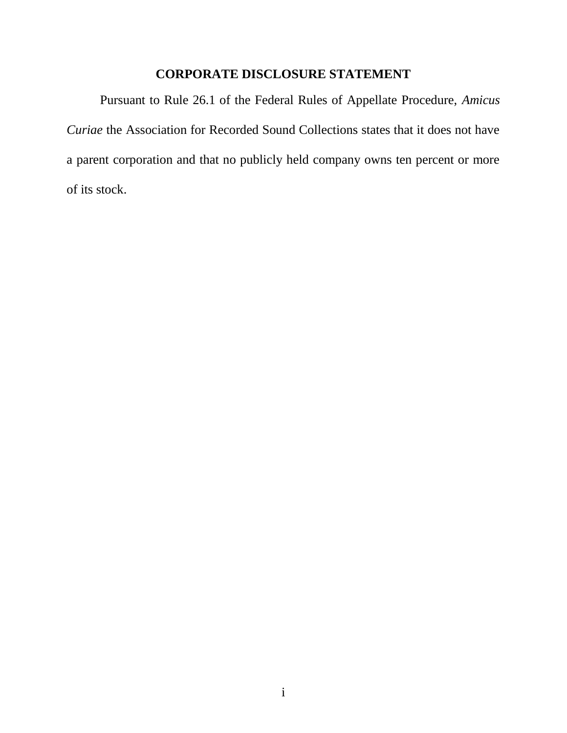## **CORPORATE DISCLOSURE STATEMENT**

<span id="page-1-0"></span>Pursuant to Rule 26.1 of the Federal Rules of Appellate Procedure, *Amicus Curiae* the Association for Recorded Sound Collections states that it does not have a parent corporation and that no publicly held company owns ten percent or more of its stock.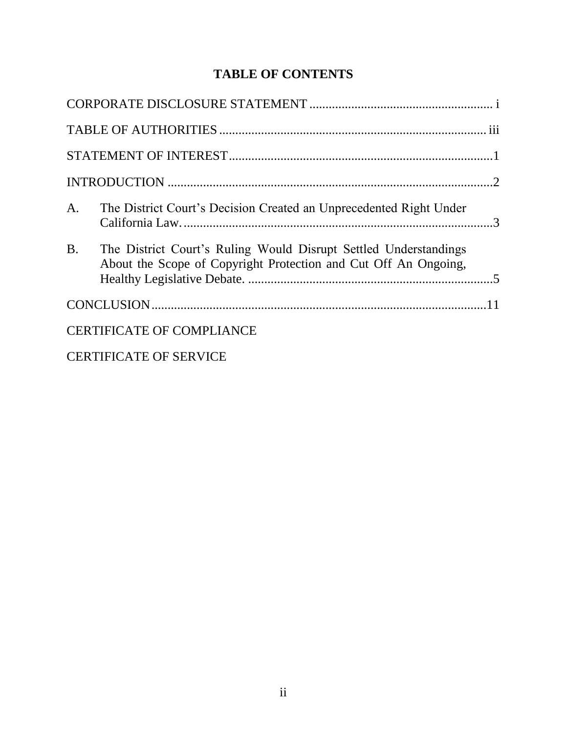# **TABLE OF CONTENTS**

| A <sub>1</sub>                   | The District Court's Decision Created an Unprecedented Right Under                                                                  |  |  |
|----------------------------------|-------------------------------------------------------------------------------------------------------------------------------------|--|--|
| B <sub>1</sub>                   | The District Court's Ruling Would Disrupt Settled Understandings<br>About the Scope of Copyright Protection and Cut Off An Ongoing, |  |  |
|                                  |                                                                                                                                     |  |  |
| <b>CERTIFICATE OF COMPLIANCE</b> |                                                                                                                                     |  |  |
|                                  |                                                                                                                                     |  |  |

[CERTIFICATE OF SERVICE](#page-18-0)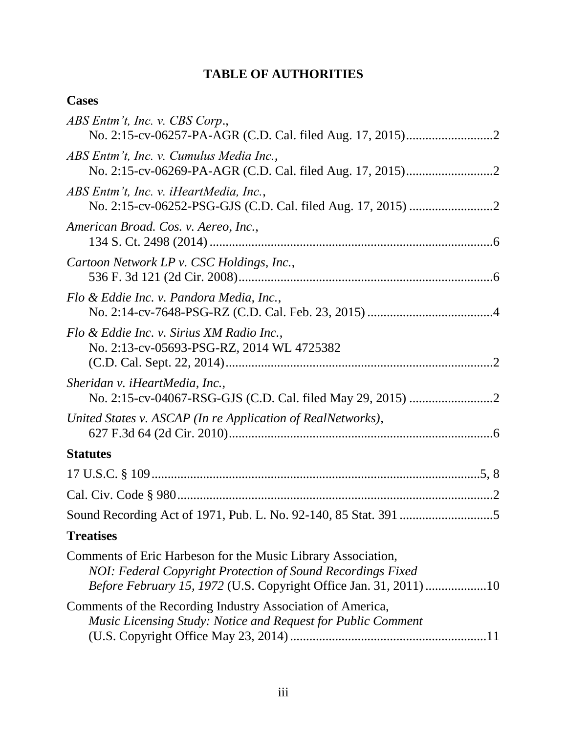# **TABLE OF AUTHORITIES**

# <span id="page-3-0"></span>**Cases**

| ABS Entm't, Inc. v. CBS Corp.,                                                                                                                                                                          |
|---------------------------------------------------------------------------------------------------------------------------------------------------------------------------------------------------------|
| ABS Entm't, Inc. v. Cumulus Media Inc.,                                                                                                                                                                 |
| ABS Entm't, Inc. v. iHeartMedia, Inc.,                                                                                                                                                                  |
| American Broad. Cos. v. Aereo, Inc.,                                                                                                                                                                    |
| Cartoon Network LP v. CSC Holdings, Inc.,                                                                                                                                                               |
| Flo & Eddie Inc. v. Pandora Media, Inc.,                                                                                                                                                                |
| Flo & Eddie Inc. v. Sirius XM Radio Inc.,<br>No. 2:13-cv-05693-PSG-RZ, 2014 WL 4725382                                                                                                                  |
| Sheridan v. iHeartMedia, Inc.,                                                                                                                                                                          |
| United States v. ASCAP (In re Application of RealNetworks),                                                                                                                                             |
| <b>Statutes</b>                                                                                                                                                                                         |
|                                                                                                                                                                                                         |
|                                                                                                                                                                                                         |
|                                                                                                                                                                                                         |
| <b>Treatises</b>                                                                                                                                                                                        |
| Comments of Eric Harbeson for the Music Library Association,<br>NOI: Federal Copyright Protection of Sound Recordings Fixed<br><i>Before February 15, 1972</i> (U.S. Copyright Office Jan. 31, 2011) 10 |
| Comments of the Recording Industry Association of America,<br>Music Licensing Study: Notice and Request for Public Comment                                                                              |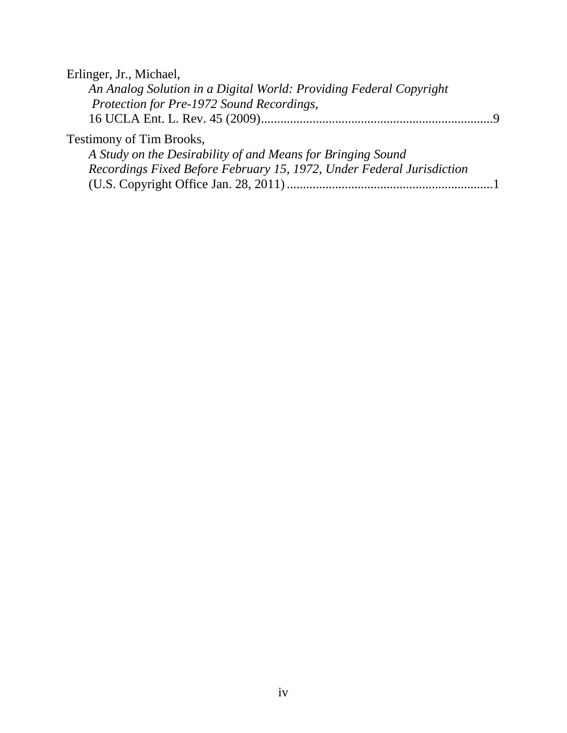Erlinger, Jr., Michael,

| An Analog Solution in a Digital World: Providing Federal Copyright    |  |
|-----------------------------------------------------------------------|--|
| Protection for Pre-1972 Sound Recordings,                             |  |
|                                                                       |  |
| <b>Testimony of Tim Brooks,</b>                                       |  |
| A Study on the Desirability of and Means for Bringing Sound           |  |
| Recordings Fixed Before February 15, 1972, Under Federal Jurisdiction |  |
|                                                                       |  |
|                                                                       |  |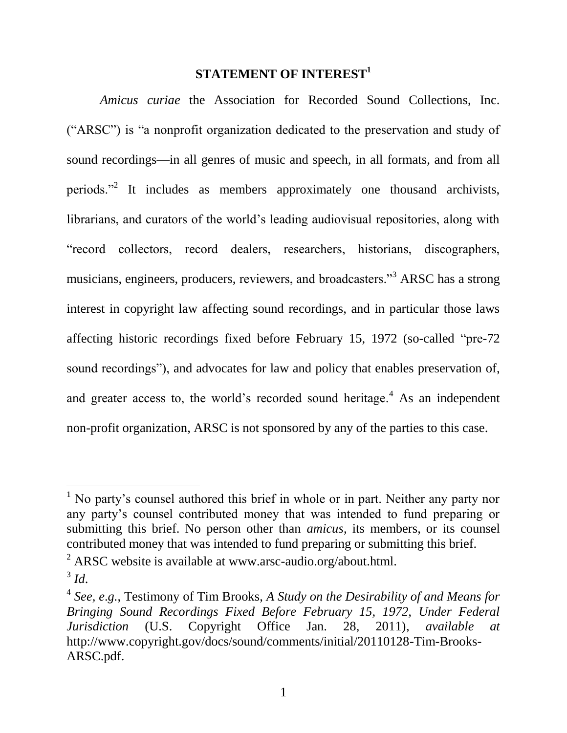### **STATEMENT OF INTEREST<sup>1</sup>**

<span id="page-5-0"></span>*Amicus curiae* the Association for Recorded Sound Collections, Inc. ("ARSC") is "a nonprofit organization dedicated to the preservation and study of sound recordings—in all genres of music and speech, in all formats, and from all periods."<sup>2</sup> It includes as members approximately one thousand archivists, librarians, and curators of the world's leading audiovisual repositories, along with "record collectors, record dealers, researchers, historians, discographers, musicians, engineers, producers, reviewers, and broadcasters."<sup>3</sup> ARSC has a strong interest in copyright law affecting sound recordings, and in particular those laws affecting historic recordings fixed before February 15, 1972 (so-called "pre-72 sound recordings"), and advocates for law and policy that enables preservation of, and greater access to, the world's recorded sound heritage.<sup>4</sup> As an independent non-profit organization, ARSC is not sponsored by any of the parties to this case.

 $\overline{a}$ 

<sup>&</sup>lt;sup>1</sup> No party's counsel authored this brief in whole or in part. Neither any party nor any party's counsel contributed money that was intended to fund preparing or submitting this brief. No person other than *amicus*, its members, or its counsel contributed money that was intended to fund preparing or submitting this brief.

 $^{2}$  ARSC website is available at www.arsc-audio.org/about.html.

<sup>3</sup> *Id*.

<sup>4</sup> *See, e*.*g.*, Testimony of Tim Brooks, *A Study on the Desirability of and Means for Bringing Sound Recordings Fixed Before February 15, 1972, Under Federal Jurisdiction* (U.S. Copyright Office Jan. 28, 2011), *available at* http://www.copyright.gov/docs/sound/comments/initial/20110128-Tim-Brooks-ARSC.pdf.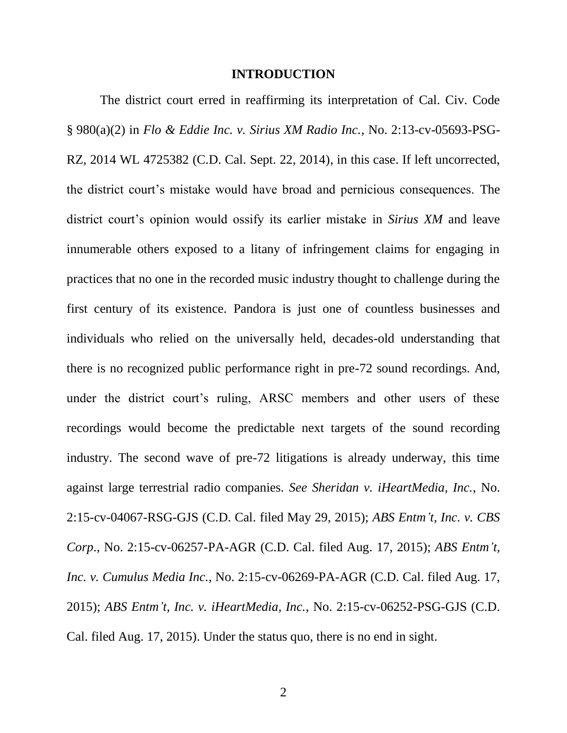#### **INTRODUCTION**

<span id="page-6-0"></span>The district court erred in reaffirming its interpretation of Cal. Civ. Code § 980(a)(2) in *Flo & Eddie Inc. v. Sirius XM Radio Inc.*, No. 2:13-cv-05693-PSG-RZ, 2014 WL 4725382 (C.D. Cal. Sept. 22, 2014), in this case. If left uncorrected, the district court's mistake would have broad and pernicious consequences. The district court's opinion would ossify its earlier mistake in *Sirius XM* and leave innumerable others exposed to a litany of infringement claims for engaging in practices that no one in the recorded music industry thought to challenge during the first century of its existence. Pandora is just one of countless businesses and individuals who relied on the universally held, decades-old understanding that there is no recognized public performance right in pre-72 sound recordings. And, under the district court's ruling, ARSC members and other users of these recordings would become the predictable next targets of the sound recording industry. The second wave of pre-72 litigations is already underway, this time against large terrestrial radio companies. *See Sheridan v. iHeartMedia, Inc.*, No. 2:15-cv-04067-RSG-GJS (C.D. Cal. filed May 29, 2015); *ABS Entm't, Inc. v. CBS Corp*., No. 2:15-cv-06257-PA-AGR (C.D. Cal. filed Aug. 17, 2015); *ABS Entm't, Inc. v. Cumulus Media Inc.*, No. 2:15-cv-06269-PA-AGR (C.D. Cal. filed Aug. 17, 2015); *ABS Entm't, Inc. v. iHeartMedia, Inc.*, No. 2:15-cv-06252-PSG-GJS (C.D. Cal. filed Aug. 17, 2015). Under the status quo, there is no end in sight.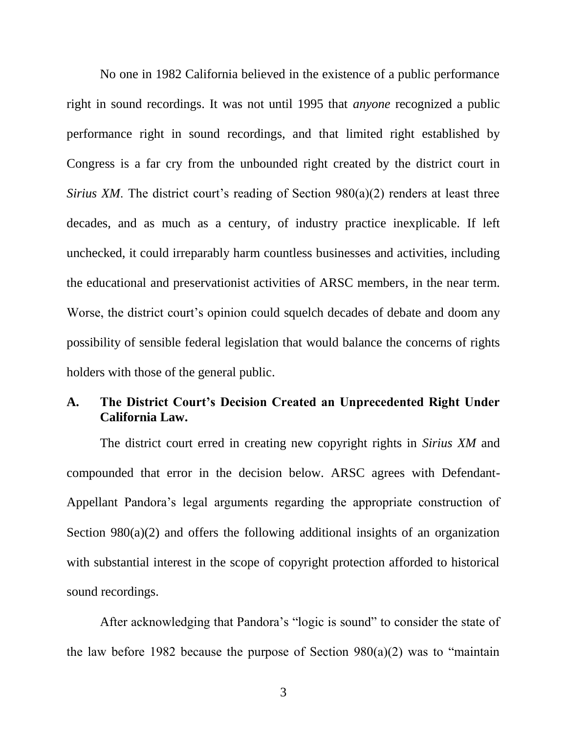No one in 1982 California believed in the existence of a public performance right in sound recordings. It was not until 1995 that *anyone* recognized a public performance right in sound recordings, and that limited right established by Congress is a far cry from the unbounded right created by the district court in *Sirius XM*. The district court's reading of Section 980(a)(2) renders at least three decades, and as much as a century, of industry practice inexplicable. If left unchecked, it could irreparably harm countless businesses and activities, including the educational and preservationist activities of ARSC members, in the near term. Worse, the district court's opinion could squelch decades of debate and doom any possibility of sensible federal legislation that would balance the concerns of rights holders with those of the general public.

#### <span id="page-7-0"></span>**A. The District Court's Decision Created an Unprecedented Right Under California Law.**

The district court erred in creating new copyright rights in *Sirius XM* and compounded that error in the decision below. ARSC agrees with Defendant-Appellant Pandora's legal arguments regarding the appropriate construction of Section 980(a)(2) and offers the following additional insights of an organization with substantial interest in the scope of copyright protection afforded to historical sound recordings.

After acknowledging that Pandora's "logic is sound" to consider the state of the law before 1982 because the purpose of Section  $980(a)(2)$  was to "maintain"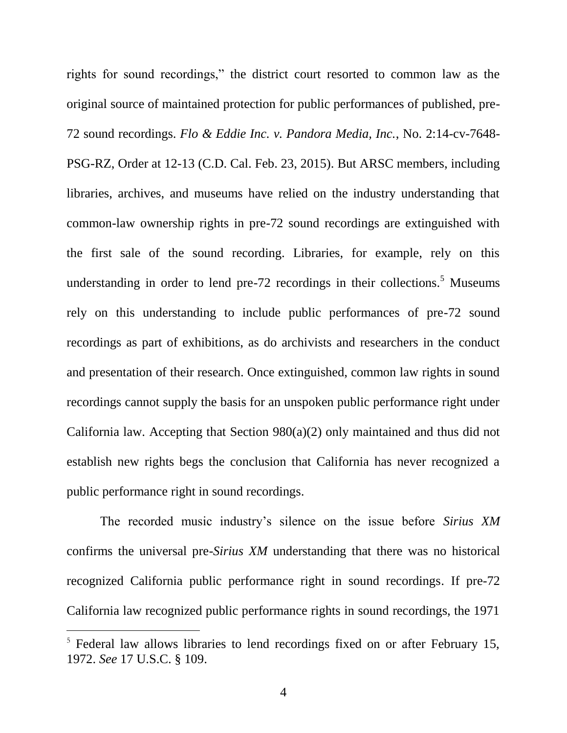rights for sound recordings," the district court resorted to common law as the original source of maintained protection for public performances of published, pre-72 sound recordings. *Flo & Eddie Inc. v. Pandora Media, Inc.*, No. 2:14-cv-7648- PSG-RZ, Order at 12-13 (C.D. Cal. Feb. 23, 2015). But ARSC members, including libraries, archives, and museums have relied on the industry understanding that common-law ownership rights in pre-72 sound recordings are extinguished with the first sale of the sound recording. Libraries, for example, rely on this understanding in order to lend pre-72 recordings in their collections.<sup>5</sup> Museums rely on this understanding to include public performances of pre-72 sound recordings as part of exhibitions, as do archivists and researchers in the conduct and presentation of their research. Once extinguished, common law rights in sound recordings cannot supply the basis for an unspoken public performance right under California law. Accepting that Section 980(a)(2) only maintained and thus did not establish new rights begs the conclusion that California has never recognized a public performance right in sound recordings.

The recorded music industry's silence on the issue before *Sirius XM* confirms the universal pre-*Sirius XM* understanding that there was no historical recognized California public performance right in sound recordings. If pre-72 California law recognized public performance rights in sound recordings, the 1971

 $\overline{a}$ 

<sup>&</sup>lt;sup>5</sup> Federal law allows libraries to lend recordings fixed on or after February 15, 1972. *See* 17 U.S.C. § 109.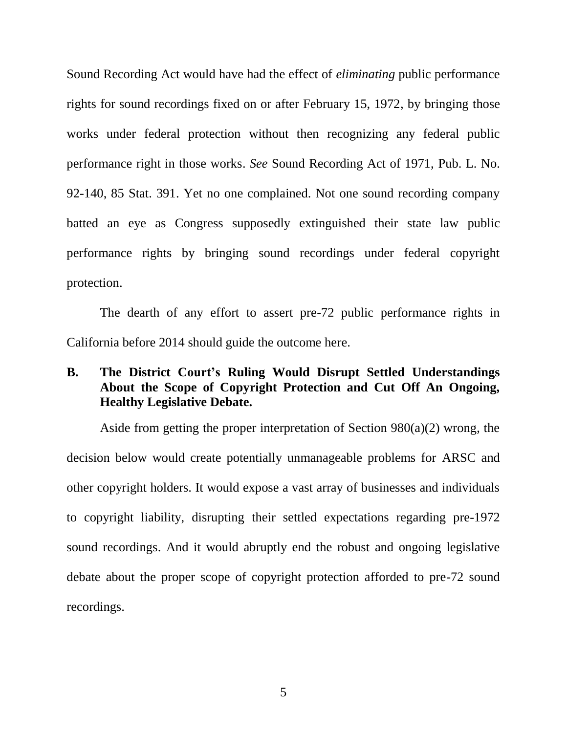Sound Recording Act would have had the effect of *eliminating* public performance rights for sound recordings fixed on or after February 15, 1972, by bringing those works under federal protection without then recognizing any federal public performance right in those works. *See* Sound Recording Act of 1971, Pub. L. No. 92-140, 85 Stat. 391. Yet no one complained. Not one sound recording company batted an eye as Congress supposedly extinguished their state law public performance rights by bringing sound recordings under federal copyright protection.

The dearth of any effort to assert pre-72 public performance rights in California before 2014 should guide the outcome here.

### <span id="page-9-0"></span>**B. The District Court's Ruling Would Disrupt Settled Understandings About the Scope of Copyright Protection and Cut Off An Ongoing, Healthy Legislative Debate.**

Aside from getting the proper interpretation of Section 980(a)(2) wrong, the decision below would create potentially unmanageable problems for ARSC and other copyright holders. It would expose a vast array of businesses and individuals to copyright liability, disrupting their settled expectations regarding pre-1972 sound recordings. And it would abruptly end the robust and ongoing legislative debate about the proper scope of copyright protection afforded to pre-72 sound recordings.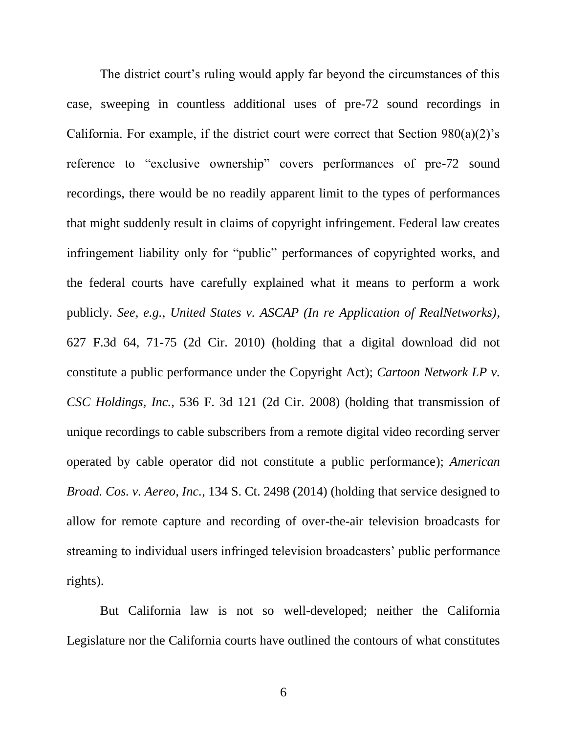The district court's ruling would apply far beyond the circumstances of this case, sweeping in countless additional uses of pre-72 sound recordings in California. For example, if the district court were correct that Section  $980(a)(2)$ 's reference to "exclusive ownership" covers performances of pre-72 sound recordings, there would be no readily apparent limit to the types of performances that might suddenly result in claims of copyright infringement. Federal law creates infringement liability only for "public" performances of copyrighted works, and the federal courts have carefully explained what it means to perform a work publicly. *See, e.g.*, *United States v. ASCAP (In re Application of RealNetworks)*, 627 F.3d 64, 71-75 (2d Cir. 2010) (holding that a digital download did not constitute a public performance under the Copyright Act); *Cartoon Network LP v. CSC Holdings, Inc.*, 536 F. 3d 121 (2d Cir. 2008) (holding that transmission of unique recordings to cable subscribers from a remote digital video recording server operated by cable operator did not constitute a public performance); *American Broad. Cos. v. Aereo, Inc.*, 134 S. Ct. 2498 (2014) (holding that service designed to allow for remote capture and recording of over-the-air television broadcasts for streaming to individual users infringed television broadcasters' public performance rights).

But California law is not so well-developed; neither the California Legislature nor the California courts have outlined the contours of what constitutes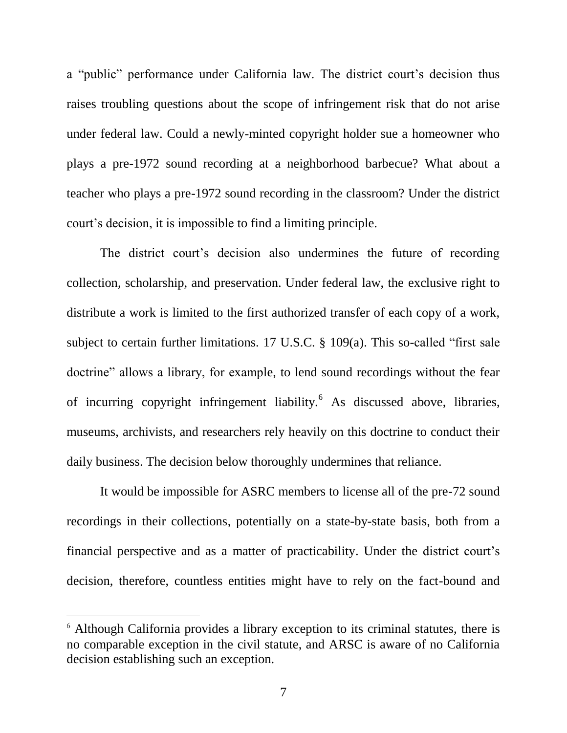a "public" performance under California law. The district court's decision thus raises troubling questions about the scope of infringement risk that do not arise under federal law. Could a newly-minted copyright holder sue a homeowner who plays a pre-1972 sound recording at a neighborhood barbecue? What about a teacher who plays a pre-1972 sound recording in the classroom? Under the district court's decision, it is impossible to find a limiting principle.

The district court's decision also undermines the future of recording collection, scholarship, and preservation. Under federal law, the exclusive right to distribute a work is limited to the first authorized transfer of each copy of a work, subject to certain further limitations. 17 U.S.C. § 109(a). This so-called "first sale doctrine" allows a library, for example, to lend sound recordings without the fear of incurring copyright infringement liability.<sup>6</sup> As discussed above, libraries, museums, archivists, and researchers rely heavily on this doctrine to conduct their daily business. The decision below thoroughly undermines that reliance.

It would be impossible for ASRC members to license all of the pre-72 sound recordings in their collections, potentially on a state-by-state basis, both from a financial perspective and as a matter of practicability. Under the district court's decision, therefore, countless entities might have to rely on the fact-bound and

 $\overline{a}$ 

<sup>6</sup> Although California provides a library exception to its criminal statutes, there is no comparable exception in the civil statute, and ARSC is aware of no California decision establishing such an exception.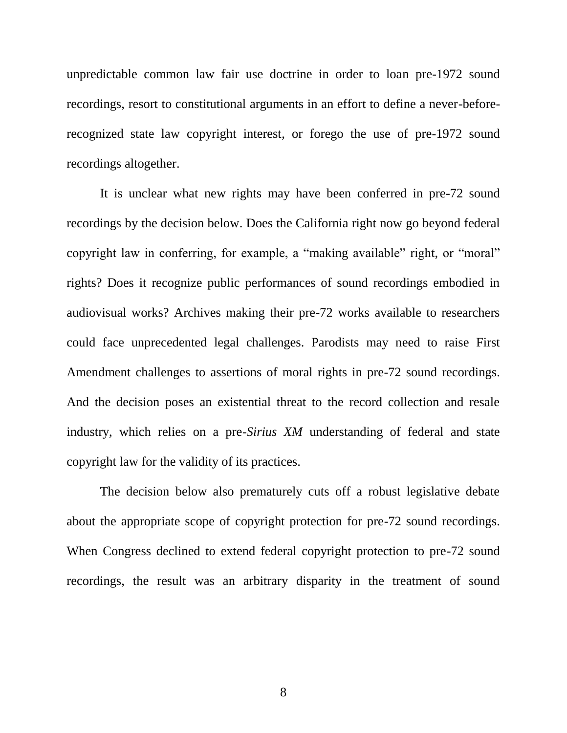unpredictable common law fair use doctrine in order to loan pre-1972 sound recordings, resort to constitutional arguments in an effort to define a never-beforerecognized state law copyright interest, or forego the use of pre-1972 sound recordings altogether.

It is unclear what new rights may have been conferred in pre-72 sound recordings by the decision below. Does the California right now go beyond federal copyright law in conferring, for example, a "making available" right, or "moral" rights? Does it recognize public performances of sound recordings embodied in audiovisual works? Archives making their pre-72 works available to researchers could face unprecedented legal challenges. Parodists may need to raise First Amendment challenges to assertions of moral rights in pre-72 sound recordings. And the decision poses an existential threat to the record collection and resale industry, which relies on a pre-*Sirius XM* understanding of federal and state copyright law for the validity of its practices.

The decision below also prematurely cuts off a robust legislative debate about the appropriate scope of copyright protection for pre-72 sound recordings. When Congress declined to extend federal copyright protection to pre-72 sound recordings, the result was an arbitrary disparity in the treatment of sound

8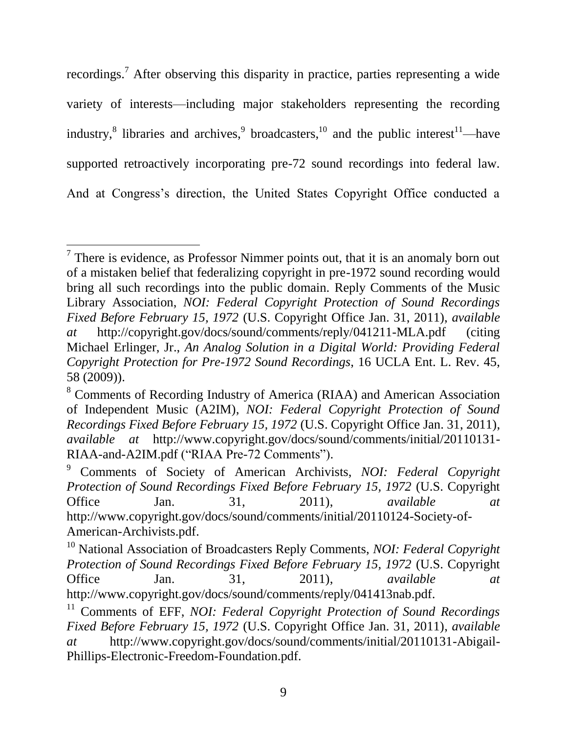recordings.<sup>7</sup> After observing this disparity in practice, parties representing a wide variety of interests—including major stakeholders representing the recording industry,<sup>8</sup> libraries and archives,<sup>9</sup> broadcasters,<sup>10</sup> and the public interest<sup>11</sup>—have supported retroactively incorporating pre-72 sound recordings into federal law. And at Congress's direction, the United States Copyright Office conducted a

 $\overline{a}$  $7$  There is evidence, as Professor Nimmer points out, that it is an anomaly born out of a mistaken belief that federalizing copyright in pre-1972 sound recording would bring all such recordings into the public domain. Reply Comments of the Music Library Association, *NOI: Federal Copyright Protection of Sound Recordings Fixed Before February 15, 1972* (U.S. Copyright Office Jan. 31, 2011), *available at* http://copyright.gov/docs/sound/comments/reply/041211-MLA.pdf (citing Michael Erlinger, Jr., *An Analog Solution in a Digital World: Providing Federal Copyright Protection for Pre-1972 Sound Recordings*, 16 UCLA Ent. L. Rev. 45, 58 (2009)).

<sup>8</sup> Comments of Recording Industry of America (RIAA) and American Association of Independent Music (A2IM), *NOI: Federal Copyright Protection of Sound Recordings Fixed Before February 15, 1972* (U.S. Copyright Office Jan. 31, 2011), *available at* http://www.copyright.gov/docs/sound/comments/initial/20110131- RIAA-and-A2IM.pdf ("RIAA Pre-72 Comments").

<sup>9</sup> Comments of Society of American Archivists, *NOI: Federal Copyright Protection of Sound Recordings Fixed Before February 15, 1972* (U.S. Copyright Office Jan. 31, 2011), *available at* http://www.copyright.gov/docs/sound/comments/initial/20110124-Society-of-American-Archivists.pdf.

<sup>10</sup> National Association of Broadcasters Reply Comments, *NOI: Federal Copyright Protection of Sound Recordings Fixed Before February 15, 1972* (U.S. Copyright Office Jan. 31, 2011), *available at* http://www.copyright.gov/docs/sound/comments/reply/041413nab.pdf.

<sup>11</sup> Comments of EFF, *NOI: Federal Copyright Protection of Sound Recordings Fixed Before February 15, 1972* (U.S. Copyright Office Jan. 31, 2011), *available at* http://www.copyright.gov/docs/sound/comments/initial/20110131-Abigail-Phillips-Electronic-Freedom-Foundation.pdf.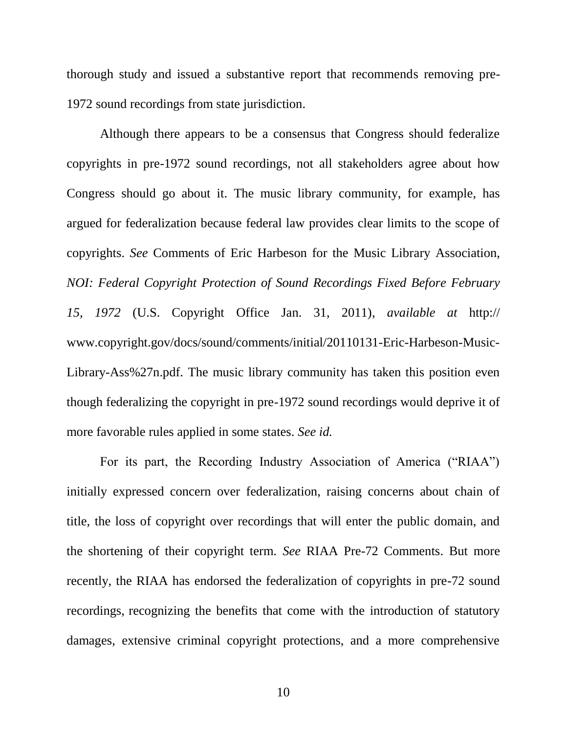thorough study and issued a substantive report that recommends removing pre-1972 sound recordings from state jurisdiction.

Although there appears to be a consensus that Congress should federalize copyrights in pre-1972 sound recordings, not all stakeholders agree about how Congress should go about it. The music library community, for example, has argued for federalization because federal law provides clear limits to the scope of copyrights. *See* Comments of Eric Harbeson for the Music Library Association, *NOI: Federal Copyright Protection of Sound Recordings Fixed Before February 15, 1972* (U.S. Copyright Office Jan. 31, 2011), *available at* http:// www.copyright.gov/docs/sound/comments/initial/20110131-Eric-Harbeson-Music-Library-Ass%27n.pdf. The music library community has taken this position even though federalizing the copyright in pre-1972 sound recordings would deprive it of more favorable rules applied in some states. *See id.*

For its part, the Recording Industry Association of America ("RIAA") initially expressed concern over federalization, raising concerns about chain of title, the loss of copyright over recordings that will enter the public domain, and the shortening of their copyright term. *See* RIAA Pre-72 Comments. But more recently, the RIAA has endorsed the federalization of copyrights in pre-72 sound recordings, recognizing the benefits that come with the introduction of statutory damages, extensive criminal copyright protections, and a more comprehensive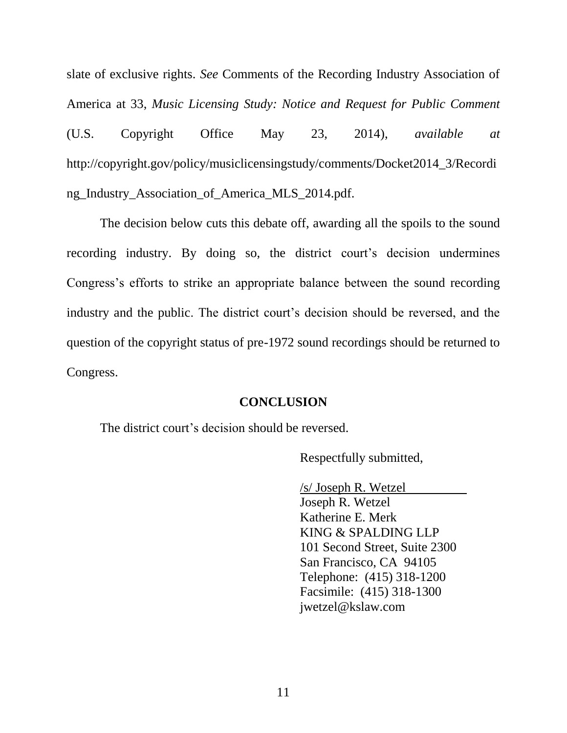slate of exclusive rights. *See* Comments of the Recording Industry Association of America at 33, *Music Licensing Study: Notice and Request for Public Comment* (U.S. Copyright Office May 23, 2014), *available at*  http://copyright.gov/policy/musiclicensingstudy/comments/Docket2014\_3/Recordi ng\_Industry\_Association\_of\_America\_MLS\_2014.pdf.

The decision below cuts this debate off, awarding all the spoils to the sound recording industry. By doing so, the district court's decision undermines Congress's efforts to strike an appropriate balance between the sound recording industry and the public. The district court's decision should be reversed, and the question of the copyright status of pre-1972 sound recordings should be returned to Congress.

#### **CONCLUSION**

<span id="page-15-0"></span>The district court's decision should be reversed.

Respectfully submitted,

/s/ Joseph R. Wetzel

Joseph R. Wetzel Katherine E. Merk KING & SPALDING LLP 101 Second Street, Suite 2300 San Francisco, CA 94105 Telephone: (415) 318-1200 Facsimile: (415) 318-1300 jwetzel@kslaw.com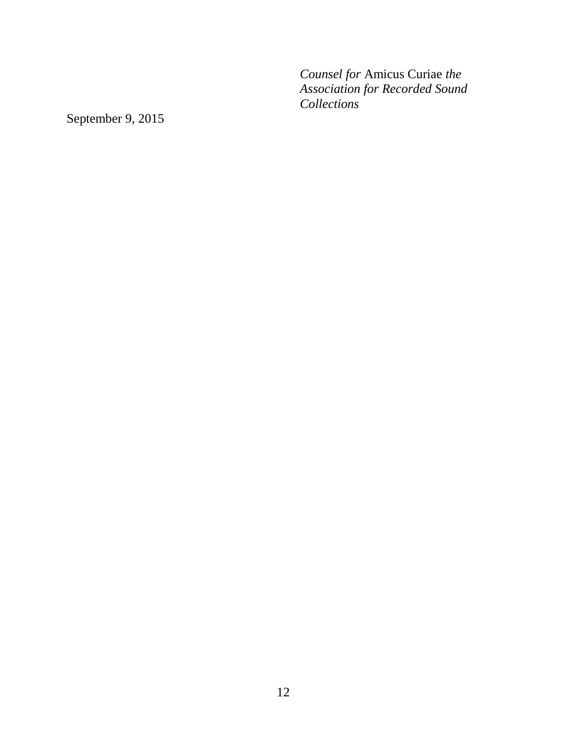*Counsel for* Amicus Curiae *the Association for Recorded Sound Collections*

September 9, 2015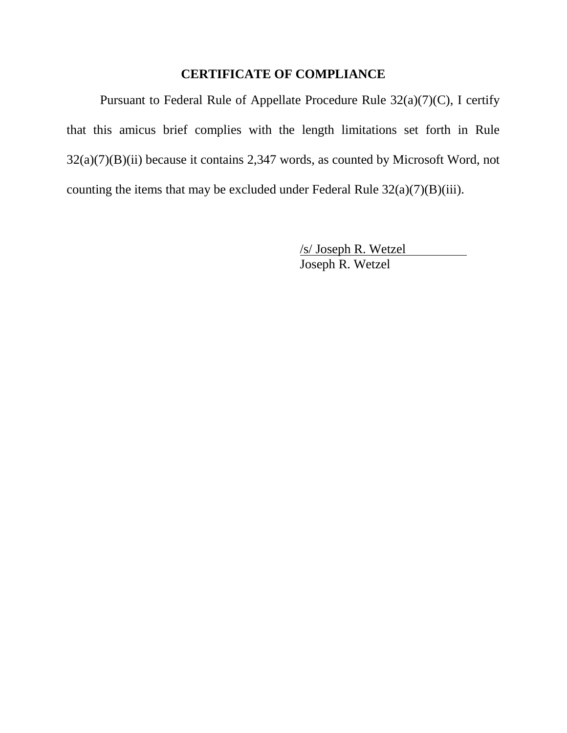## **CERTIFICATE OF COMPLIANCE**

<span id="page-17-0"></span>Pursuant to Federal Rule of Appellate Procedure Rule 32(a)(7)(C), I certify that this amicus brief complies with the length limitations set forth in Rule 32(a)(7)(B)(ii) because it contains 2,347 words, as counted by Microsoft Word, not counting the items that may be excluded under Federal Rule  $32(a)(7)(B)(iii)$ .

> /s/ Joseph R. Wetzel Joseph R. Wetzel